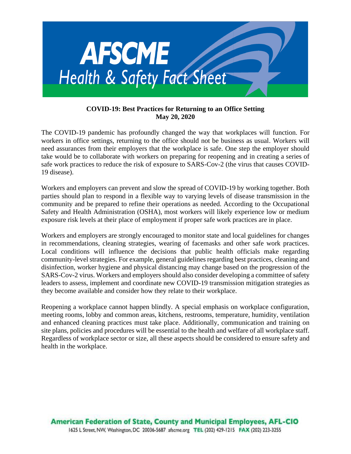

### **COVID-19: Best Practices for Returning to an Office Setting May 20, 2020**

The COVID-19 pandemic has profoundly changed the way that workplaces will function. For workers in office settings, returning to the office should not be business as usual. Workers will need assurances from their employers that the workplace is safe. One step the employer should take would be to collaborate with workers on preparing for reopening and in creating a series of safe work practices to reduce the risk of exposure to SARS-Cov-2 (the virus that causes COVID-19 disease).

Workers and employers can prevent and slow the spread of COVID-19 by working together. Both parties should plan to respond in a flexible way to varying levels of disease transmission in the community and be prepared to refine their operations as needed. According to the Occupational Safety and Health Administration (OSHA), most workers will likely experience low or medium exposure risk levels at their place of employment if proper safe work practices are in place.

Workers and employers are strongly encouraged to monitor state and local guidelines for changes in recommendations, cleaning strategies, wearing of facemasks and other safe work practices. Local conditions will influence the decisions that public health officials make regarding community-level strategies. For example, general guidelines regarding best practices, cleaning and disinfection, worker hygiene and physical distancing may change based on the progression of the SARS-Cov-2 virus. Workers and employers should also consider developing a committee of safety leaders to assess, implement and coordinate new COVID-19 transmission mitigation strategies as they become available and consider how they relate to their workplace.

Reopening a workplace cannot happen blindly. A special emphasis on workplace configuration, meeting rooms, lobby and common areas, kitchens, restrooms, temperature, humidity, ventilation and enhanced cleaning practices must take place. Additionally, communication and training on site plans, policies and procedures will be essential to the health and welfare of all workplace staff. Regardless of workplace sector or size, all these aspects should be considered to ensure safety and health in the workplace.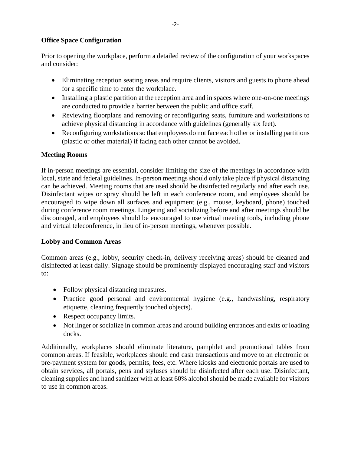## **Office Space Configuration**

Prior to opening the workplace, perform a detailed review of the configuration of your workspaces and consider:

- Eliminating reception seating areas and require clients, visitors and guests to phone ahead for a specific time to enter the workplace.
- Installing a plastic partition at the reception area and in spaces where one-on-one meetings are conducted to provide a barrier between the public and office staff.
- Reviewing floorplans and removing or reconfiguring seats, furniture and workstations to achieve physical distancing in accordance with guidelines (generally six feet).
- Reconfiguring workstations so that employees do not face each other or installing partitions (plastic or other material) if facing each other cannot be avoided.

# **Meeting Rooms**

If in-person meetings are essential, consider limiting the size of the meetings in accordance with local, state and federal guidelines. In-person meetings should only take place if physical distancing can be achieved. Meeting rooms that are used should be disinfected regularly and after each use. Disinfectant wipes or spray should be left in each conference room, and employees should be encouraged to wipe down all surfaces and equipment (e.g., mouse, keyboard, phone) touched during conference room meetings. Lingering and socializing before and after meetings should be discouraged, and employees should be encouraged to use virtual meeting tools, including phone and virtual teleconference, in lieu of in-person meetings, whenever possible.

#### **Lobby and Common Areas**

Common areas (e.g., lobby, security check-in, delivery receiving areas) should be cleaned and disinfected at least daily. Signage should be prominently displayed encouraging staff and visitors to:

- Follow physical distancing measures.
- Practice good personal and environmental hygiene (e.g., handwashing, respiratory etiquette, cleaning frequently touched objects).
- Respect occupancy limits.
- Not linger or socialize in common areas and around building entrances and exits or loading docks.

Additionally, workplaces should eliminate literature, pamphlet and promotional tables from common areas. If feasible, workplaces should end cash transactions and move to an electronic or pre-payment system for goods, permits, fees, etc. Where kiosks and electronic portals are used to obtain services, all portals, pens and styluses should be disinfected after each use. Disinfectant, cleaning supplies and hand sanitizer with at least 60% alcohol should be made available for visitors to use in common areas.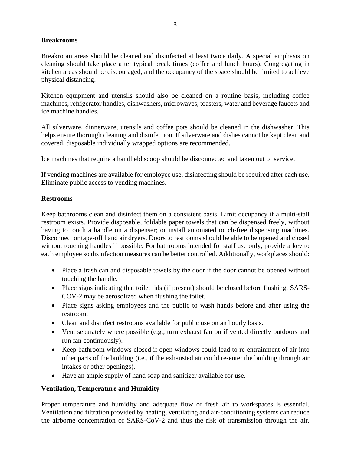## **Breakrooms**

Breakroom areas should be cleaned and disinfected at least twice daily. A special emphasis on cleaning should take place after typical break times (coffee and lunch hours). Congregating in kitchen areas should be discouraged, and the occupancy of the space should be limited to achieve physical distancing.

Kitchen equipment and utensils should also be cleaned on a routine basis, including coffee machines, refrigerator handles, dishwashers, microwaves, toasters, water and beverage faucets and ice machine handles.

All silverware, dinnerware, utensils and coffee pots should be cleaned in the dishwasher. This helps ensure thorough cleaning and disinfection. If silverware and dishes cannot be kept clean and covered, disposable individually wrapped options are recommended.

Ice machines that require a handheld scoop should be disconnected and taken out of service.

If vending machines are available for employee use, disinfecting should be required after each use. Eliminate public access to vending machines.

### **Restrooms**

Keep bathrooms clean and disinfect them on a consistent basis. Limit occupancy if a multi-stall restroom exists. Provide disposable, foldable paper towels that can be dispensed freely, without having to touch a handle on a dispenser; or install automated touch-free dispensing machines. Disconnect or tape-off hand air dryers. Doors to restrooms should be able to be opened and closed without touching handles if possible. For bathrooms intended for staff use only, provide a key to each employee so disinfection measures can be better controlled. Additionally, workplaces should:

- Place a trash can and disposable towels by the door if the door cannot be opened without touching the handle.
- Place signs indicating that toilet lids (if present) should be closed before flushing. SARS-COV-2 may be aerosolized when flushing the toilet.
- Place signs asking employees and the public to wash hands before and after using the restroom.
- Clean and disinfect restrooms available for public use on an hourly basis.
- Vent separately where possible (e.g., turn exhaust fan on if vented directly outdoors and run fan continuously).
- Keep bathroom windows closed if open windows could lead to re-entrainment of air into other parts of the building (i.e., if the exhausted air could re-enter the building through air intakes or other openings).
- Have an ample supply of hand soap and sanitizer available for use.

# **Ventilation, Temperature and Humidity**

Proper temperature and humidity and adequate flow of fresh air to workspaces is essential. Ventilation and filtration provided by heating, ventilating and air-conditioning systems can reduce the airborne concentration of SARS-CoV-2 and thus the risk of transmission through the air.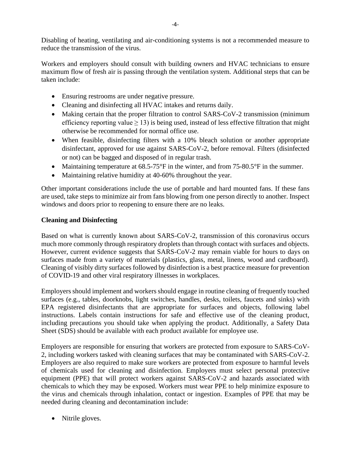Disabling of heating, ventilating and air-conditioning systems is not a recommended measure to reduce the transmission of the virus.

Workers and employers should consult with building owners and HVAC technicians to ensure maximum flow of fresh air is passing through the ventilation system. Additional steps that can be taken include:

- Ensuring restrooms are under negative pressure.
- Cleaning and disinfecting all HVAC intakes and returns daily.
- Making certain that the proper filtration to control SARS-CoV-2 transmission (minimum efficiency reporting value  $\geq$  13) is being used, instead of less effective filtration that might otherwise be recommended for normal office use.
- When feasible, disinfecting filters with a 10% bleach solution or another appropriate disinfectant, approved for use against SARS-CoV-2, before removal. Filters (disinfected or not) can be bagged and disposed of in regular trash.
- Maintaining temperature at 68.5-75°F in the winter, and from 75-80.5°F in the summer.
- Maintaining relative humidity at 40-60% throughout the year.

Other important considerations include the use of portable and hard mounted fans. If these fans are used, take steps to minimize air from fans blowing from one person directly to another. Inspect windows and doors prior to reopening to ensure there are no leaks.

### **Cleaning and Disinfecting**

Based on what is currently known about SARS-CoV-2, transmission of this coronavirus occurs much more commonly through respiratory droplets than through contact with surfaces and objects. However, current evidence suggests that SARS-CoV-2 may remain viable for hours to days on surfaces made from a variety of materials (plastics, glass, metal, linens, wood and cardboard). Cleaning of visibly dirty surfaces followed by disinfection is a best practice measure for prevention of COVID-19 and other viral respiratory illnesses in workplaces.

Employers should implement and workers should engage in routine cleaning of frequently touched surfaces (e.g., tables, doorknobs, light switches, handles, desks, toilets, faucets and sinks) with EPA registered disinfectants that are appropriate for surfaces and objects, following label instructions. Labels contain instructions for safe and effective use of the cleaning product, including precautions you should take when applying the product. Additionally, a Safety Data Sheet (SDS) should be available with each product available for employee use.

Employers are responsible for ensuring that workers are protected from exposure to SARS-CoV-2, including workers tasked with cleaning surfaces that may be contaminated with SARS-CoV-2. Employers are also required to make sure workers are protected from exposure to harmful levels of chemicals used for cleaning and disinfection. Employers must select personal protective equipment (PPE) that will protect workers against SARS-CoV-2 and hazards associated with chemicals to which they may be exposed. Workers must wear PPE to help minimize exposure to the virus and chemicals through inhalation, contact or ingestion. Examples of PPE that may be needed during cleaning and decontamination include:

• Nitrile gloves.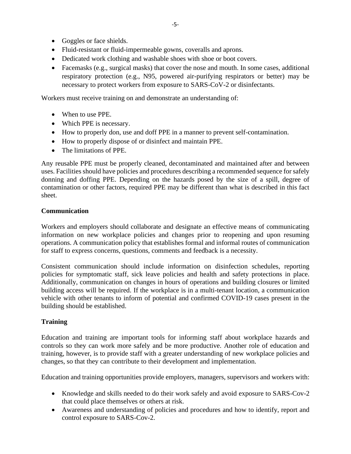- Goggles or face shields.
- Fluid-resistant or fluid-impermeable gowns, coveralls and aprons.
- Dedicated work clothing and washable shoes with shoe or boot covers.
- Facemasks (e.g., surgical masks) that cover the nose and mouth. In some cases, additional respiratory protection (e.g., N95, powered air-purifying respirators or better) may be necessary to protect workers from exposure to SARS-CoV-2 or disinfectants.

Workers must receive training on and demonstrate an understanding of:

- When to use PPE.
- Which PPE is necessary.
- How to properly don, use and doff PPE in a manner to prevent self-contamination.
- How to properly dispose of or disinfect and maintain PPE.
- The limitations of PPE.

Any reusable PPE must be properly cleaned, decontaminated and maintained after and between uses. Facilities should have policies and procedures describing a recommended sequence for safely donning and doffing PPE. Depending on the hazards posed by the size of a spill, degree of contamination or other factors, required PPE may be different than what is described in this fact sheet.

### **Communication**

Workers and employers should collaborate and designate an effective means of communicating information on new workplace policies and changes prior to reopening and upon resuming operations. A communication policy that establishes formal and informal routes of communication for staff to express concerns, questions, comments and feedback is a necessity.

Consistent communication should include information on disinfection schedules, reporting policies for symptomatic staff, sick leave policies and health and safety protections in place. Additionally, communication on changes in hours of operations and building closures or limited building access will be required. If the workplace is in a multi-tenant location, a communication vehicle with other tenants to inform of potential and confirmed COVID-19 cases present in the building should be established.

# **Training**

Education and training are important tools for informing staff about workplace hazards and controls so they can work more safely and be more productive. Another role of education and training, however, is to provide staff with a greater understanding of new workplace policies and changes, so that they can contribute to their development and implementation.

Education and training opportunities provide employers, managers, supervisors and workers with:

- Knowledge and skills needed to do their work safely and avoid exposure to SARS-Cov-2 that could place themselves or others at risk.
- Awareness and understanding of policies and procedures and how to identify, report and control exposure to SARS-Cov-2.